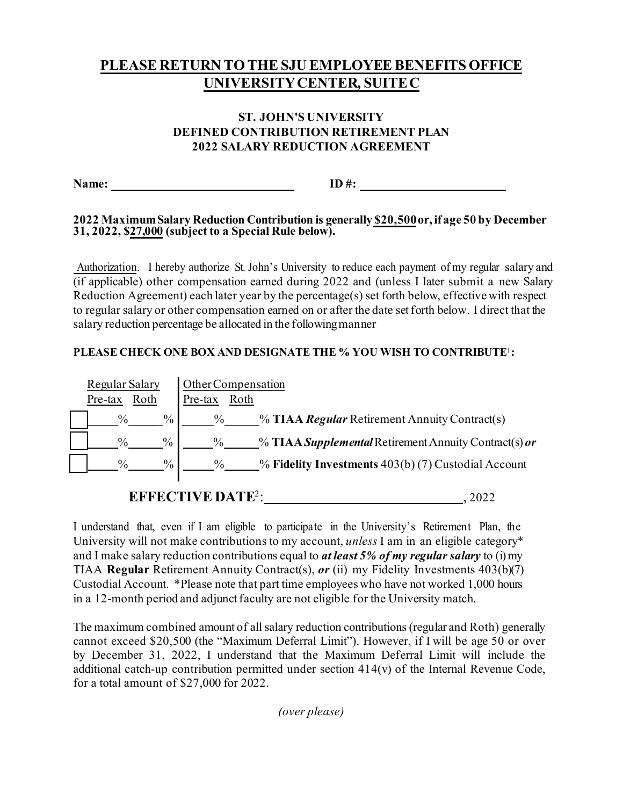# **PLEASE RETURN TO THE SJU EMPLOYEEBENEFITS OFFICE UNIVERSITY CENTER, SUITE C**

### **ST. JOHN'S UNIVERSITY DEFINED CONTRIBUTION RETIREMENT PLAN 2022 SALARY REDUCTION AGREEMENT**

**Name: ID**#:

#### **2022 MaximumSalary Reduction Contribution is generally \$20,500 or, if age 50 by December 31, 2022, \$27,000 (subject to a Special Rule below).**

Authorization. I hereby authorize St. John's University to reduce each payment of my regular salary and (if applicable) other compensation earned during 2022 and (unless I later submit a new Salary Reduction Agreement) each later year by the percentage(s) set forth below, effective with respect to regular salary or other compensation earned on or after the date set forth below. I direct that the salary reduction percentage be allocated in the following manner

#### **PLEASE CHECK ONE BOX AND DESIGNATE THE % YOU WISH TO CONTRIBUTE**<sup>1</sup> **:**



# **EFFECTIVE DATE<sup>2</sup>: 4.2022**

I understand that, even if I am eligible to participate in the University's Retirement Plan, the University will not make contributions to my account, *unless* I am in an eligible category\* and I make salary reduction contributions equal to *at least 5% of my regular salary* to (i) my TIAA **Regular** Retirement Annuity Contract(s), *or* (ii) my Fidelity Investments 403(b)(7) Custodial Account. \*Please note that part time employees who have not worked 1,000 hours in a 12-month period and adjunct faculty are not eligible for the University match.

The maximum combined amount of all salary reduction contributions (regular and Roth) generally cannot exceed \$20,500 (the "Maximum Deferral Limit"). However, if I will be age 50 or over by December 31, 2022, I understand that the Maximum Deferral Limit will include the additional catch-up contribution permitted under section 414(v) of the Internal Revenue Code, for a total amount of \$27,000 for 2022.

*(over please)*